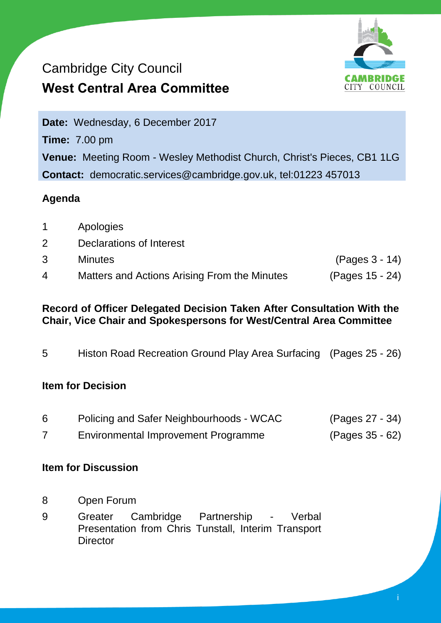# Cambridge City Council **West Central Area Committee**



i

**Date:** Wednesday, 6 December 2017 **Time:** 7.00 pm **Venue:** Meeting Room - Wesley Methodist Church, Christ's Pieces, CB1 1LG **Contact:** democratic.services@cambridge.gov.uk, tel:01223 457013

### **Agenda**

|    | Apologies                                    |                 |
|----|----------------------------------------------|-----------------|
|    | Declarations of Interest                     |                 |
| 3. | <b>Minutes</b>                               | (Pages 3 - 14)  |
| 4  | Matters and Actions Arising From the Minutes | (Pages 15 - 24) |

#### **Record of Officer Delegated Decision Taken After Consultation With the Chair, Vice Chair and Spokespersons for West/Central Area Committee**

5 Histon Road Recreation Ground Play Area Surfacing (Pages 25 - 26)

### **Item for Decision**

| 6 | Policing and Safer Neighbourhoods - WCAC   | (Pages 27 - 34) |
|---|--------------------------------------------|-----------------|
|   | <b>Environmental Improvement Programme</b> | (Pages 35 - 62) |

### **Item for Discussion**

- 8 Open Forum
- 9 Greater Cambridge Partnership Verbal Presentation from Chris Tunstall, Interim Transport **Director**